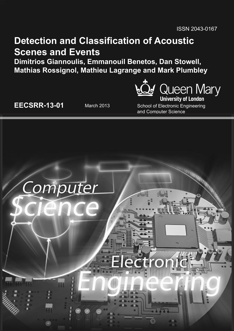# **Detection and Classification of Acoustic Scenes and Events**

**Dimitrios Giannoulis, Emmanouil Benetos, Dan Stowell, Mathias Rossignol, Mathieu Lagrange and Mark Plumbley**



**EECSRR-13-01** March 2013 School of Electronic Engineering and Computer Science

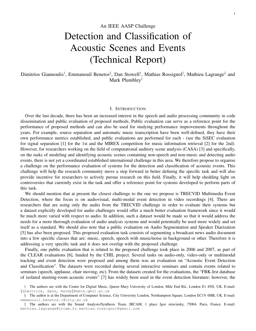# An IEEE AASP Challenge Detection and Classification of Acoustic Scenes and Events (Technical Report)

Dimitrios Giannoulis<sup>†</sup>, Emmanouil Benetos<sup>§</sup>, Dan Stowell<sup>†</sup>, Mathias Rossignol<sup>‡</sup>, Mathieu Lagrange<sup>‡</sup> and Mark Plumbley†

#### I. INTRODUCTION

Over the last decade, there has been an increased interest in the speech and audio processing community in code dissemination and public evaluation of proposed methods. Public evaluation can serve as a reference point for the performance of proposed methods and can also be used for studying performance improvements throughout the years. For example, source separation and automatic music transcription have been well-defined, they have their own performance metrics established, and public evaluations are performed for each - (see the SiSEC evaluation for signal separation [1] for the 1st and the MIREX competition for music information retrieval [2] for the 2nd). However, for researchers working on the field of computational auditory scene analysis (CASA) [3] and specifically, on the tasks of modeling and identifying acoustic scenes containing non-speech and non-music and detecting audio events, there is not yet a coordinated established international challenge in this area. We therefore propose to organise a challenge on the performance evaluation of systems for the detection and classification of acoustic events. This challenge will help the research community move a step forward in better defining the specific task and will also provide incentive for researchers to actively pursue research on this field. Finally, it will help shedding light on controversies that currently exist in the task and offer a reference point for systems developed to perform parts of this task.

We should mention that at present the closest challenge to the one we propose is TRECVID Multimedia Event Detection, where the focus is on audiovisual, multi-modal event detection in video recordings [4]. There are researchers that are using only the audio from the TRECVID challenge in order to evaluate their systems but a dataset explicitly developed for audio challenges would offer a much better evaluation framework since it would be much more varied with respect to audio. In addition, such a dataset would be made so that it would address the needs for a more thorough evaluation of audio analysis systems and would potentially be used more widely and set itself as a standard. We should also note that a public evaluation on Audio Segmentation and Speaker Diarization [5] has also been proposed. This proposed evaluation task consists of segmenting a broadcast news audio document into a few specific classes that are: music, speech, speech with music/noise in background or other. Therefore it is addressing a very specific task and it does not overlap with the proposed challenge.

Finally, one public evaluation that is related to the proposed challenge took place in 2006 and 2007, as part of the CLEAR evaluations [6], funded by the CHIL project. Several tasks on audio-only, video-only or multimodal tracking and event detection were proposed and among them was an evaluation on "Acoustic Event Detection and Classification". The datasets were recorded during several interactive seminars and contain events related to seminars (speech, applause, chair moving, etc). From the datasets created for the evaluations, the "FBK-Irst database of isolated meeting-room acoustic events" [7] has widely been used in the event detection literature; however, the

<sup>†</sup> The authors are with the Centre for Digital Music, Queen Mary University of London, Mile End Rd., London E1 4NS, UK. E-mail: {dimitrios, dans, markp}@eecs.qmul.ac.uk

<sup>§</sup> The author is at the Department of Computer Science, City University London, Northampton Square, London EC1V 0HB, UK. E-mail: emmanouil.benetos.1@city.ac.uk

<sup>‡</sup> The authors are with the Sound Analysis/Synthesis Team, IRCAM, 1 place Igor stravinsky, 75004, Paris, France. E-mail: mathieu.lagrange@ircam.fr, mathias.rossignol@gmail.com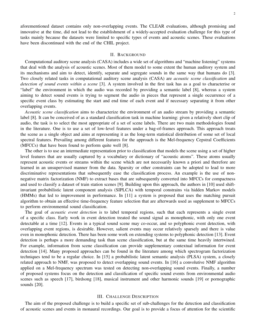aforementioned dataset contains only non-overlapping events. The CLEAR evaluations, although promising and innovative at the time, did not lead to the establishment of a widely-accepted evaluation challenge for this type of tasks mainly because the datasets were limited to specific types of events and acoustic scenes. These evaluations have been discontinued with the end of the CHIL project.

#### II. BACKGROUND

Computational auditory scene analysis (CASA) includes a wide set of algorithms and "machine listening" systems that deal with the analysis of acoustic scenes. Most of them model to some extent the human auditory system and its mechanisms and aim to detect, identify, separate and segregate sounds in the same way that humans do [3]. Two closely related tasks in computational auditory scene analysis (CASA) are *acoustic scene classification* and *detection of sound events within a scene* [3]. A system involved in the first task has as a goal to characterise or "label" the environment in which the audio was recorded by providing a semantic label [8], whereas a system aiming to detect sound events is trying to segment the audio in pieces that represent a single occurrence of a specific event class by estimating the start and end time of each event and if necessary separating it from other overlapping events.

*Acoustic scene classification* aims to characterize the environment of an audio stream by providing a semantic label [8]. It can be conceived of as a standard classification task in machine learning: given a relatively short clip of audio, the task is to select the most appropriate of a set of scene labels. There are two main methodologies found in the literature. One is to use a set of low-level features under a bag-of-frames approach. This approach treats the scene as a single object and aims at representing it as the long-term statistical distribution of some set of local spectral features. Prevailing among different features for the approach is the Mel-frequency Cepstral Coefficients (MFCCs) that have been found to perform quite well [8].

The other is to use an intermediate representation prior to classification that models the scene using a set of higher level features that are usually captured by a vocabulary or dictionary of "acoustic atoms". These atoms usually represent acoustic events or streams within the scene which are not necessarily known a priori and therefore are learned in an unsupervised manner from the data. Sparsity or other constraints can be adopted to lead to more discriminative representations that subsequently ease the classification process. An example is the use of nonnegative matrix factorization (NMF) to extract bases that are subsequently converted into MFCCs for compactness and used to classify a dataset of train station scenes [9]. Building upon this approach, the authors in [10] used shiftinvariant probabilistic latent component analysis (SIPLCA) with temporal constrains via hidden Markov models (HMMs) that led to improvement in performance. In [11] a system is proposed that uses the matching pursuit algorithm to obtain an effective time-frequency feature selection that are afterwards used as supplement to MFCCs to perform environmental sound classification.

The goal of *acoustic event detection* is to label temporal regions, such that each represents a single event of a specific class. Early work in event detection treated the sound signal as monophonic, with only one event detectable at a time [12]. Events in a typical sound scene may co-occur, and so polyphonic event detection, with overlapping event regions, is desirable. However, salient events may occur relatively sparsely and there is value even in monophonic detection. There has been some work on extending systems to polyphonic detection [13]. Event detection is perhaps a more demanding task than scene classification, but at the same time heavily intertwined. For example, information from scene classification can provide supplementary contextual information for event detection [14]. Many proposed approaches can be found in the literature among which spectrogram factorization techniques tend to be a regular choice. In [15] a probabilistic latent semantic analysis (PLSA) system, a closely related approach to NMF, was proposed to detect overlapping sound events. In [16] a convolutive NMF algorithm applied on a Mel-frequency spectrum was tested on detecting non-overlapping sound events. Finally, a number of proposed systems focus on the detection and classification of specific sound events from environmental audio scenes such as speech [17], birdsong [18], musical instrument and other harmonic sounds [19] or pornographic sounds [20].

# III. CHALLENGE DESCRIPTION

The aim of the proposed challenge is to build a specific set of sub-challenges for the detection and classification of acoustic scenes and events in monaural recordings. Our goal is to provide a focus of attention for the scientific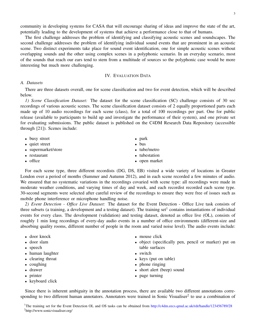community in developing systems for CASA that will encourage sharing of ideas and improve the state of the art, potentially leading to the development of systems that achieve a performance close to that of humans.

The first challenge addresses the problem of identifying and classifying acoustic scenes and soundscapes. The second challenge addresses the problem of identifying individual sound events that are prominent in an acoustic scene. Two distinct experiments take place for sound event identification, one for simple acoustic scenes without overlapping sounds and the other using complex scenes in a polyphonic scenario. In an everyday scenario, most of the sounds that reach our ears tend to stem from a multitude of sources so the polyphonic case would be more interesting but much more challenging.

# IV. EVALUATION DATA

# *A. Datasets*

There are three datasets overall, one for scene classification and two for event detection, which will be described below.

*1) Scene Classification Dataset:* The dataset for the scene classification (SC) challenge consists of 30 sec recordings of various acoustic scenes. The scene classification dataset consists of 2 equally proportioned parts each made up of 10 audio recordings for each scene (class), for a total of 100 recordings per part. One for public release (available to participants to build up and investigate the performance of their system), and one private set for evaluating submissions. The public dataset is published on the C4DM Research Data Repository (accessible through [21]). Scenes include:

| • busy street       | $\bullet$ park |
|---------------------|----------------|
| • quiet street      | $\bullet$ bus  |
| • supermarket/store | • tube/metro   |
| • restaurant        | • tubestation  |
| $\bullet$ office    | • open market  |

For each scene type, three different recordists (DG, DS, EB) visited a wide variety of locations in Greater London over a period of months (Summer and Autumn 2012), and in each scene recorded a few minutes of audio. We ensured that no systematic variations in the recordings covaried with scene type: all recordings were made in moderate weather conditions, and varying times of day and week, and each recordist recorded each scene type. 30-second segments were selected after careful review of the recordings to ensure they were free of issues such as mobile phone interference or microphone handling noise.

*2) Event Detection - Office Live Dataset:* The dataset for the Event Detection - Office Live task consists of three subsets (a training, a development and a testing dataset). The training set<sup>1</sup> contains instantiations of individual events for every class. The development (validation) and testing dataset, denoted as office live (OL), consists of roughly 1 min long recordings of every-day audio events in a number of office environments (different-size and absorbing quality rooms, different number of people in the room and varied noise level). The audio events include:

- door knock
- door slam
- speech
- human laughter
- clearing throat
- coughing
- drawer
- printer
- keyboard click
- mouse click
- object (specifically pen, pencil or marker) put on table surfaces
- switch
- keys (put on table)
- phone ringing
- short alert (beep) sound
- page turning

Since there is inherent ambiguity in the annotation process, there are available two different annotations corresponding to two different human annotators. Annotators were trained in Sonic Visualiser<sup>2</sup> to use a combination of

<sup>&</sup>lt;sup>1</sup>The training set for the Event Detection OL and OS tasks can be obtained from http://c4dm.eecs.qmul.ac.uk/rdr/handle/123456789/28 <sup>2</sup>http://www.sonicvisualiser.org/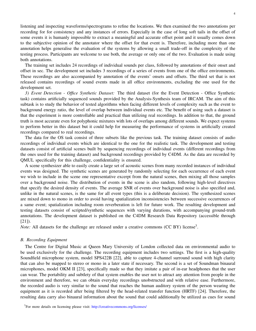listening and inspecting waveforms/spectrograms to refine the locations. We then examined the two annotations per recording for for consistency and any instances of errors. Especially in the case of long soft tails in the offset of some events it is humanly impossible to extract a meaningful and accurate offset point and it usually comes down to the subjective opinion of the annotator where the offset for that event is. Therefore, including more than one annotation helps generalise the evaluation of the systems by allowing a small trade-off in the complexity of the testing process. Participants are welcome to use both, the average or only one of the two. Evaluation is made using both annotations.

The training set includes 24 recordings of individual sounds per class, followed by annotations of their onset and offset in sec. The development set includes 3 recordings of a series of events from one of the office environments. These recordings are also accompanied by annotation of the events' onsets and offsets. The third set that is not released contains recordings of sound events made in all office environments, excluding the one used for the development set.

*3) Event Detection - Office Synthetic Dataset:* The third dataset (for the Event Detection - Office Synthetic task) contains artificially sequenced sounds provided by the Analysis-Synthesis team of IRCAM. The aim of this subtask is to study the behavior of tested algorithms when facing different levels of complexity such as the event to background energy ratio, the level of overlap between individual events etc. The benefit of using such a dataset is that the experiment is more controllable and practical than utilizing real recordings. In addition to that, the ground truth is most accurate even for polyphonic mixtures with lots of overlaps among different sounds. We expect systems to perform better in this dataset but it could help for measuring the performance of systems in artificially created recordings compared to real recordings.

The data for the OS task consist of three subsets like the previous task. The training dataset consists of audio recordings of individual events which are identical to the one for the realistic task. The development and testing datasets consist of artificial scenes built by sequencing recordings of individual events (different recordings from the ones used for the training dataset) and background recordings provided by C4DM. As the data are recorded by QMUL specifically for this challenge, confidentiality is ensured.

A scene synthesizer able to easily create a large set of acoustic scenes from many recorded instances of individual events was designed. The synthetic scenes are generated by randomly selecting for each occurrence of each event we wish to include in the scene one representative excerpt from the natural scenes, then mixing all those samples over a background noise. The distribution of events in the scene is also random, following high-level directives that specify the desired density of events. The average SNR of events over background noise is also specified and, unlike in the natural scenes, is the same for all event types (this is a deliberate decision). The synthesized scenes are mixed down to mono in order to avoid having spatialization inconsistencies between successive occurrences of a same event; spatialization including room reverberation is left for future work. The resulting development and testing datasets consist of scripted/synthetic sequences with varying durations, with accompanying ground-truth annotations. The development dataset is published on the C4DM Research Data Repository (accessible through [21]).

*Note:* All datasets for the challenge are released under a creative commons (CC BY) license<sup>3</sup>.

#### *B. Recording Equipment*

The Centre for Digital Music at Queen Mary University of London collected data on environmental audio to be used exclusively for the challenge. The recording equipment includes two settings. The first is a high-quality Soundfield microphone system, model SPS422B [22], able to capture 4-channel surround sound with high clarity that can also be mapped to stereo or mono in a later state if necessary. The second is a set of Soundman binaural microphones, model OKM II [23], specifically made so that they imitate a pair of in-ear headphones that the user can wear. The portability and subtlety of that system enables the user not to attract any attention from people in the environment and therefore, we can obtain everyday recordings unobstructed and with relative ease. Furthermore, the recorded audio is very similar to the sound that reaches the human auditory system of the person wearing the equipment as it is recorded after being filtered by the head-related transfer function (HRTF) [24]. Therefore, the resulting data carry also binaural information about the sound that could additionally be utilized as cues for sound

<sup>&</sup>lt;sup>3</sup>For more details on licensing please visit: http://creativecommons.org/licenses/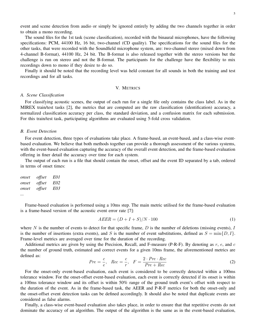event and scene detection from audio or simply be ignored entirely by adding the two channels together in order to obtain a mono recording.

The sound files for the 1st task (scene classification), recorded with the binaural microphones, have the following specifications: PCM, 44100 Hz, 16 bit, two-channel (CD quality). The specifications for the sound files for the other tasks, that were recorded with the Soundfield microphone system, are: two-channel stereo (mixed down from 4-channel B-format), 44100 Hz, 24 bit. The B-format is also released together with the stereo versions but the challenge is run on stereo and not the B-format. The participants for the challenge have the flexibility to mix recordings down to mono if they desire to do so.

Finally it should be noted that the recording level was held constant for all sounds in both the training and test recordings and for all tasks.

# V. METRICS

### *A. Scene Classification*

For classifying acoustic scenes, the output of each run for a single file only contains the class label. As in the MIREX train/test tasks [2], the metrics that are computed are the raw classification (identification) accuracy, a normalized classification accuracy per class, the standard deviation, and a confusion matrix for each submission. For this train/test task, participating algorithms are evaluated using 5-fold cross validation.

#### *B. Event Detection*

For event detection, three types of evaluations take place. A frame-based, an event-based, and a class-wise eventbased evaluation. We believe that both methods together can provide a thorough assessment of the various systems, with the event-based evaluation capturing the accuracy of the overall event detection, and the frame-based evaluation offering in finer detail the accuracy over time for each system.

The output of each run is a file that should contain the onset, offset and the event ID separated by a tab, ordered in terms of onset times:

| onset | <i>offset</i> | E01 |
|-------|---------------|-----|
| onset | offset        | E02 |
| onset | <i>offset</i> | E03 |
|       |               |     |

Frame-based evaluation is performed using a 10ms step. The main metric utilised for the frame-based evaluation is a frame-based version of the acoustic event error rate [7]:

$$
AEER = (D + I + S)/N \cdot 100\tag{1}
$$

where  $N$  is the number of events to detect for that specific frame,  $D$  is the number of deletions (missing events),  $I$ is the number of insertions (extra events), and S is the number of event substitutions, defined as  $S = \min\{D, I\}$ . Frame-level metrics are averaged over time for the duration of the recording.

Additional metrics are given by using the Precision, Recall, and F-measure (P-R-F). By denoting as  $r$ ,  $e$ , and  $c$ the number of ground truth, estimated and correct events for a given 10ms frame, the aforementioned metrics are defined as:

$$
Pre = \frac{c}{e}, \quad Rec = \frac{c}{r}, \quad F = \frac{2 \cdot Pre \cdot Rec}{Pre + Rec}
$$
\n<sup>(2)</sup>

For the onset-only event-based evaluation, each event is considered to be correctly detected within a 100ms tolerance window. For the onset-offset event-based evaluation, each event is correctly detected if its onset is within a 100ms tolerance window and its offset is within 50% range of the ground truth event's offset with respect to the duration of the event. As in the frame-based task, the AEER and P-R-F metrics for both the onset-only and the onset-offset event detection tasks can be defined accordingly. It should also be noted that duplicate events are considered as false alarms.

Finally, a class-wise event-based evaluation also takes place, in order to ensure that that repetitive events do not dominate the accuracy of an algorithm. The output of the algorithm is the same as in the event-based evaluation,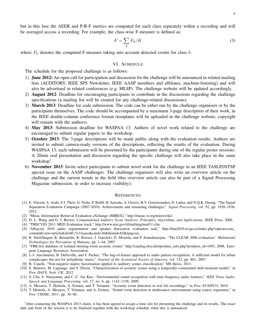but in this fase the AEER and P-R-F metrics are computed for each class separately within a recording and will be averaged accoss a recording. For example, the class-wise F-measure is defined as:

$$
F = \sum_{k} F_{k}/K \tag{3}
$$

where  $F_k$  denotes the computed F-measure taking into account detected events for class k.

#### VI. SCHEDULE

The schedule for the proposed challenge is as follows:

- 1) June 2012: An open call for participation and discussion for the challenge will be announced in related mailing lists (AUDITORY, IEEE SPS Newsletter, IEEE AASP members and affiliates, machine-listening) and will also be advertised in related conferences (e.g. MLSP). The challenge website will be updated accordingly.
- 2) August 2012: Deadline for encouraging participants to contribute in the discussions regarding the challenge specifications (a mailing list will be created for any challenge-related discussions).
- 3) March 2013: Deadline for code submission. The code can be either run by the challenge organisers or by the participants themselves. The code should be accompanied by a maximum 3-page description of their work, in the IEEE double-column conference format (templates will be uploaded in the challenge website, copyright will remain with the authors).
- 4) May 2013: Submission deadline for WASPAA 13. Authors of novel work related to the challenge are encouraged to submit regular papers to the workshop.
- 5) October 2013: The 3-page descriptions will be made public along with the evaluation results. Authors are invited to submit camera-ready versions of the descriptions, reflecting the results of the evaluation. During WASPAA 13, each submission will be presented by the participants during one of the regular poster sessions. A 20min oral presentation and discussion regarding the specific challenge will also take place in the same workshop<sup>1</sup>.
- 6) November 2013: Invite select participants to submit novel work for the challenge in an IEEE TASLP/JSTSP special issue on the AASP challenges. The challenge organisers will also write an overview article on the challenge and the current trends in the field (this overview article can also be part of a Signal Processing Magazine submission, in order to increase visibility).

#### **REFERENCES**

- [1] E. Vincent, S. Araki, F.J. Theis, G. Nolte, P. Bofill, H. Sawada, A. Ozerov, B.V. Gowreesunker, D. Lutter, and N.Q.K. Duong, "The Signal Separation Evaluation Campaign (2007-2010): Achievements and remaining challenges," *Signal Processing*, vol. 92, pp. 1928–1936, 2012.
- [2] "Music Information Retrieval Evaluation eXchange (MIREX)," http://music-ir.org/mirexwiki/.
- [3] D. L. Wang and G. J. Brown, *Computational Auditory Scene Analysis: Principles, Algorithms, and Applications*, IEEE Press, 2006.
- [4] "TRECVID 2011 MED Evaluation track," http://www.nist.gov/itl/iad/mig/med11.cfm.
- [5] "Albayzin 2010 audio segmentation and speaker diarization evaluation task," http://fala2010.uvigo.es/index.php?option=com content&view=article&id=60\%3Aaass&catid=36&Itemid=65&lang=en.
- [6] R. Stiefelhagen, K. Bernardin, R. Bowers, J. Garofolo, D. Mostefa, and P. Soundararajan, "The CLEAR 2006 evaluation," *Multimodal Technologies for Perception of Humans*, pp. 1–44, 2007.
- [7] "FBK-Irst database of isolated meeting-room acoustic events," http://catalog.elra.info/product\_info.php?products\_id=1093, 2008, European Language Resources Association.
- [8] J.-J. Aucouturier, B. Defreville, and F. Pachet, "The bag-of-frames approach to audio pattern recognition: A sufficient model for urban soundscapes but not for polyphonic music," *Journal of the Acoustical Society of America*, vol. 122, pp. 881, 2007.
- [9] B. Cauchi, "Non-negative matrix factorisation applied to auditory scenes classification," MS thesis, 2011.
- [10] E. Benetos, M. Lagrange, and S. Dixon, "Characterization of acoustic scenes using a temporally-constrained shift-invariant model," in *Proc DAFX, York, UK*, 2012.
- [11] S. Chu, S. Narayanan, and C.-C. Jay Kuo, "Environmental sound recognition with time-frequency audio features," *IEEE Trans Audio, Speech and Language Processing*, vol. 17, no. 6, pp. 1142–1158, 2009.
- [12] A. Mesaros, T. Heittola, A. Eronen, and T. Virtanen, "Acoustic event detection in real life recordings," in *Proc EUSIPCO*, 2010.
- [13] T. Heittola, A. Mesaros, T. Virtanen, and A. Eronen, "Sound event detection in multisource environments using source separation," in *Proc CHiME*, 2011, pp. 36–40.

<sup>1</sup>After contacting the WASPAA 2013 chairs, it has been agreed to assign a time slot for presenting the challenge and its results. The exact date and form of the session is to be finalised together with the workshop schedule when this is announced.